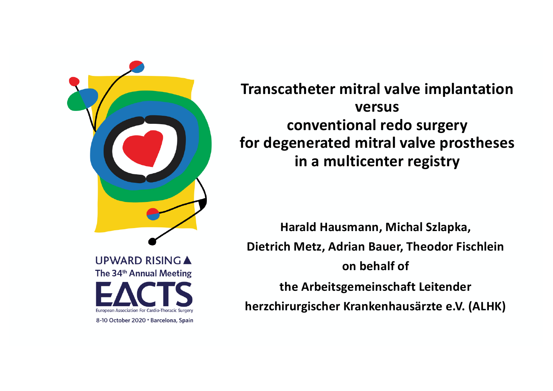

**Transcatheter mitral valve implantation versus conventional redo surgery for degenerated mitral valve prostheses in a multicenter registry**

**Harald Hausmann, Michal Szlapka, Dietrich Metz, Adrian Bauer, Theodor Fischlein on behalf of the Arbeitsgemeinschaft Leitender herzchirurgischer Krankenhausärzte e.V. (ALHK)**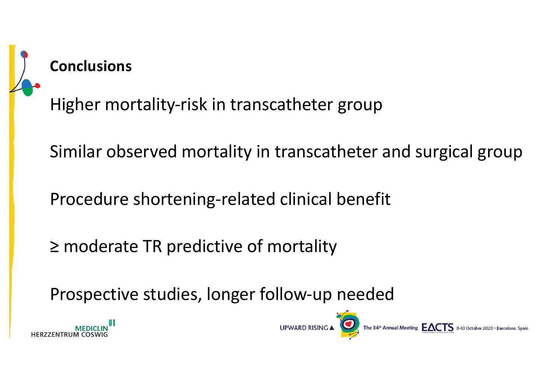

## **Conclusions**

Higher mortality-risk in transcatheter group

Similar observed mortality in transcatheter and surgical group

Procedure shortening-related clinical benefit

≥ moderate TR predictive of mortality

Prospective studies, longer follow-up needed



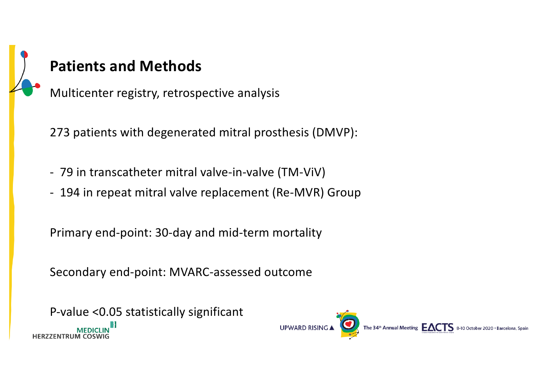## **Patients and Methods** Multicenter registry, retrospective analysis

273 patients with degenerated mitral prosthesis (DMVP):

- 79 in transcatheter mitral valve-in-valve (TM-ViV)
- 194 in repeat mitral valve replacement (Re-MVR) Group

Primary end-point: 30-day and mid-term mortality

Secondary end-point: MVARC-assessed outcome

P-value <0.05 statistically significant**HERZZENTRUM** 

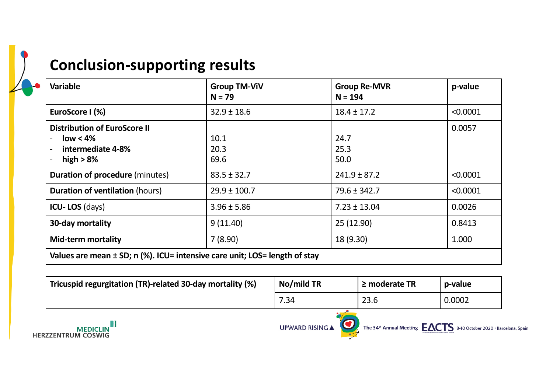## **Conclusion-supporting results**

| <b>Variable</b>                                                                         | <b>Group TM-ViV</b><br>$N = 79$ | <b>Group Re-MVR</b><br>$N = 194$ | p-value  |  |  |  |  |
|-----------------------------------------------------------------------------------------|---------------------------------|----------------------------------|----------|--|--|--|--|
| EuroScore I (%)                                                                         | $32.9 \pm 18.6$                 | $18.4 \pm 17.2$                  | < 0.0001 |  |  |  |  |
| <b>Distribution of EuroScore II</b><br>$low < 4\%$<br>intermediate 4-8%<br>high $> 8\%$ | 10.1<br>20.3<br>69.6            | 24.7<br>25.3<br>50.0             | 0.0057   |  |  |  |  |
| <b>Duration of procedure (minutes)</b>                                                  | $83.5 \pm 32.7$                 | $241.9 \pm 87.2$                 | < 0.0001 |  |  |  |  |
| <b>Duration of ventilation (hours)</b>                                                  | $29.9 \pm 100.7$                | $79.6 \pm 342.7$                 | < 0.0001 |  |  |  |  |
| <b>ICU-LOS</b> (days)                                                                   | $3.96 \pm 5.86$                 | $7.23 \pm 13.04$                 | 0.0026   |  |  |  |  |
| 30-day mortality                                                                        | 9(11.40)                        | 25 (12.90)                       | 0.8413   |  |  |  |  |
| <b>Mid-term mortality</b>                                                               | 7(8.90)                         | 18 (9.30)                        | 1.000    |  |  |  |  |
| Values are mean ± SD; n (%). ICU= intensive care unit; LOS= length of stay              |                                 |                                  |          |  |  |  |  |

| Tricuspid regurgitation (TR)-related 30-day mortality (%) | No/mild TR             | $\geq$ moderate TR                                                              | p-value |  |
|-----------------------------------------------------------|------------------------|---------------------------------------------------------------------------------|---------|--|
|                                                           | 7.34                   | 23.6                                                                            | 0.0002  |  |
| <b>MEDICLIN</b><br><b>HERZZENTRUM COSWIG</b>              | <b>UPWARD RISING ▲</b> | The 34 <sup>th</sup> Annual Meeting $EACTS$ 8-10 October 2020 · Barcelona, Spai |         |  |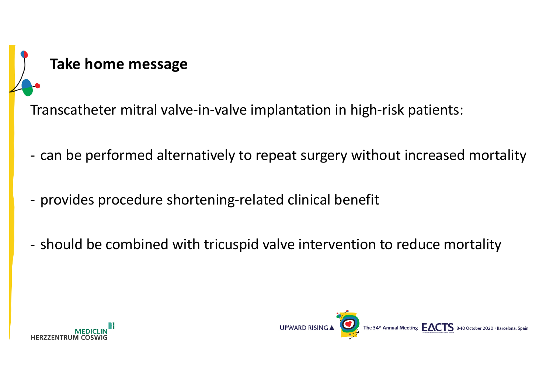

Transcatheter mitral valve-in-valve implantation in high-risk patients:

- can be performed alternatively to repeat surgery without increased mortality
- provides procedure shortening-related clinical benefit
- should be combined with tricuspid valve intervention to reduce mortality